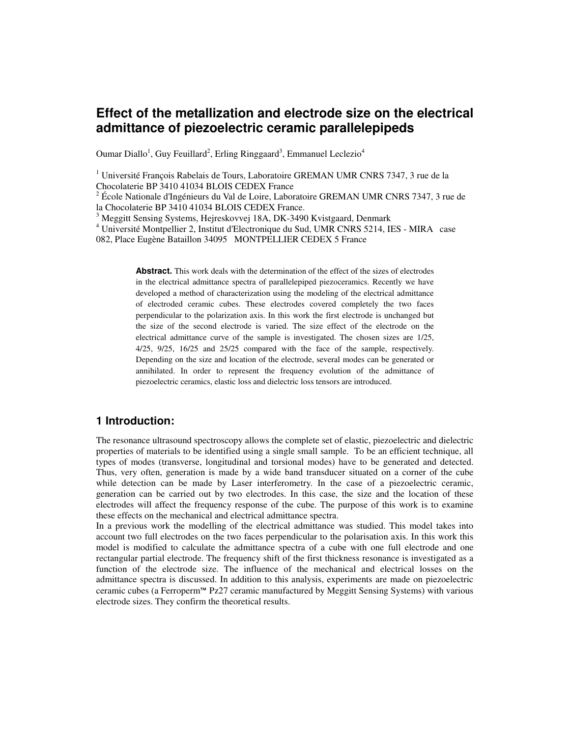# **Effect of the metallization and electrode size on the electrical admittance of piezoelectric ceramic parallelepipeds**

Oumar Diallo<sup>1</sup>, Guy Feuillard<sup>2</sup>, Erling Ringgaard<sup>3</sup>, Emmanuel Leclezio<sup>4</sup>

<sup>1</sup> Université François Rabelais de Tours, Laboratoire GREMAN UMR CNRS 7347, 3 rue de la Chocolaterie BP 3410 41034 BLOIS CEDEX France

<sup>2</sup> École Nationale d'Ingénieurs du Val de Loire, Laboratoire GREMAN UMR CNRS 7347, 3 rue de la Chocolaterie BP 3410 41034 BLOIS CEDEX France.

<sup>3</sup> Meggitt Sensing Systems, Hejreskovvej 18A, DK-3490 Kvistgaard, Denmark

4 Université Montpellier 2, Institut d'Electronique du Sud, UMR CNRS 5214, IES - MIRA case 082, Place Eugène Bataillon 34095 MONTPELLIER CEDEX 5 France

> **Abstract.** This work deals with the determination of the effect of the sizes of electrodes in the electrical admittance spectra of parallelepiped piezoceramics. Recently we have developed a method of characterization using the modeling of the electrical admittance of electroded ceramic cubes. These electrodes covered completely the two faces perpendicular to the polarization axis. In this work the first electrode is unchanged but the size of the second electrode is varied. The size effect of the electrode on the electrical admittance curve of the sample is investigated. The chosen sizes are 1/25, 4/25, 9/25, 16/25 and 25/25 compared with the face of the sample, respectively. Depending on the size and location of the electrode, several modes can be generated or annihilated. In order to represent the frequency evolution of the admittance of piezoelectric ceramics, elastic loss and dielectric loss tensors are introduced.

## **1 Introduction:**

The resonance ultrasound spectroscopy allows the complete set of elastic, piezoelectric and dielectric properties of materials to be identified using a single small sample. To be an efficient technique, all types of modes (transverse, longitudinal and torsional modes) have to be generated and detected. Thus, very often, generation is made by a wide band transducer situated on a corner of the cube while detection can be made by Laser interferometry. In the case of a piezoelectric ceramic, generation can be carried out by two electrodes. In this case, the size and the location of these electrodes will affect the frequency response of the cube. The purpose of this work is to examine these effects on the mechanical and electrical admittance spectra.

In a previous work the modelling of the electrical admittance was studied. This model takes into account two full electrodes on the two faces perpendicular to the polarisation axis. In this work this model is modified to calculate the admittance spectra of a cube with one full electrode and one rectangular partial electrode. The frequency shift of the first thickness resonance is investigated as a function of the electrode size. The influence of the mechanical and electrical losses on the admittance spectra is discussed. In addition to this analysis, experiments are made on piezoelectric ceramic cubes (a Ferroperm™ Pz27 ceramic manufactured by Meggitt Sensing Systems) with various electrode sizes. They confirm the theoretical results.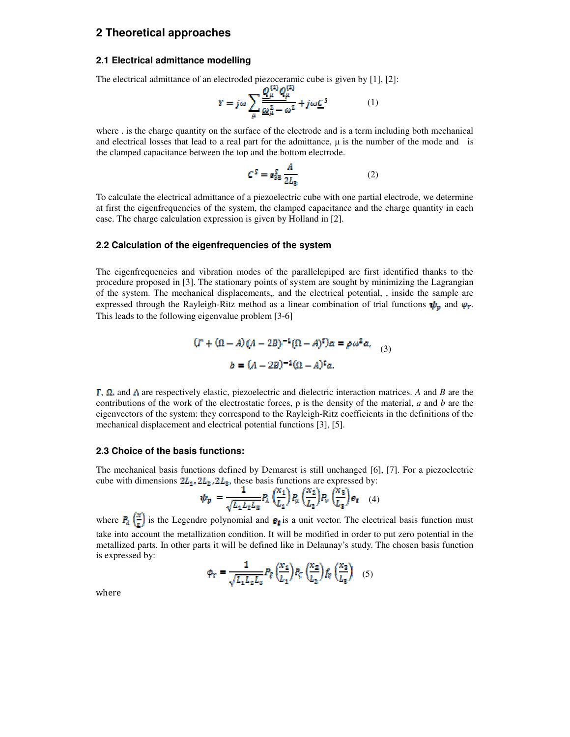### **2 Theoretical approaches**

#### **2.1 Electrical admittance modelling**

The electrical admittance of an electroded piezoceramic cube is given by [1], [2]:

$$
Y = j\omega \sum_{\mu} \frac{Q_{\mu}^{\omega} Q_{\mu}^{\omega}}{\omega_{\mu}^{2} - \omega^{2}} + j\omega \underline{C}^{s}
$$
 (1)

where . is the charge quantity on the surface of the electrode and is a term including both mechanical and electrical losses that lead to a real part for the admittance,  $\mu$  is the number of the mode and is the clamped capacitance between the top and the bottom electrode.

$$
C^{S} = \varepsilon_{33}^{S} \frac{A}{2L_{3}} \tag{2}
$$

To calculate the electrical admittance of a piezoelectric cube with one partial electrode, we determine at first the eigenfrequencies of the system, the clamped capacitance and the charge quantity in each case. The charge calculation expression is given by Holland in [2].

#### **2.2 Calculation of the eigenfrequencies of the system**

The eigenfrequencies and vibration modes of the parallelepiped are first identified thanks to the procedure proposed in [3]. The stationary points of system are sought by minimizing the Lagrangian of the system. The mechanical displacements,*,* and the electrical potential, , inside the sample are expressed through the Rayleigh-Ritz method as a linear combination of trial functions  $\psi_n$  and  $\varphi_r$ . This leads to the following eigenvalue problem [3-6]

$$
(I + (\Omega - A)(A - 2B)^{-1}(\Omega - A)^t)a = \rho \omega^2 a,
$$
  

$$
b = (A - 2B)^{-1}(\Omega - A)^t a.
$$
 (3)

 $\Gamma$ ,  $\Omega$ , and  $\Lambda$  are respectively elastic, piezoelectric and dielectric interaction matrices. A and *B* are the contributions of the work of the electrostatic forces, ρ is the density of the material, *a* and *b* are the eigenvectors of the system: they correspond to the Rayleigh-Ritz coefficients in the definitions of the mechanical displacement and electrical potential functions [3], [5].

#### **2.3 Choice of the basis functions:**

The mechanical basis functions defined by Demarest is still unchanged [6], [7]. For a piezoelectric cube with dimensions  $2L_{1}$ ,  $2L_{2}$ ,  $2L_{3}$ , these basis functions are expressed by:

$$
\Psi_p = \frac{1}{\sqrt{L_1 L_2 L_3}} P_\lambda \left(\frac{x_1}{L_1}\right) P_\mu \left(\frac{x_2}{L_2}\right) P_\nu \left(\frac{x_3}{L_3}\right) e_i \quad (4)
$$

where  $P_{\lambda}(\frac{x}{r})$  is the Legendre polynomial and  $e_{\lambda}$  is a unit vector. The electrical basis function must take into account the metallization condition. It will be modified in order to put zero potential in the metallized parts. In other parts it will be defined like in Delaunay's study. The chosen basis function is expressed by:

$$
\phi_r = \frac{1}{\sqrt{L_1 L_2 L_3}} P_{\xi} \left(\frac{x_1}{L_1}\right) P_{\xi} \left(\frac{x_2}{L_2}\right) f_{\eta} \left(\frac{x_3}{L_3}\right) \quad (5)
$$

where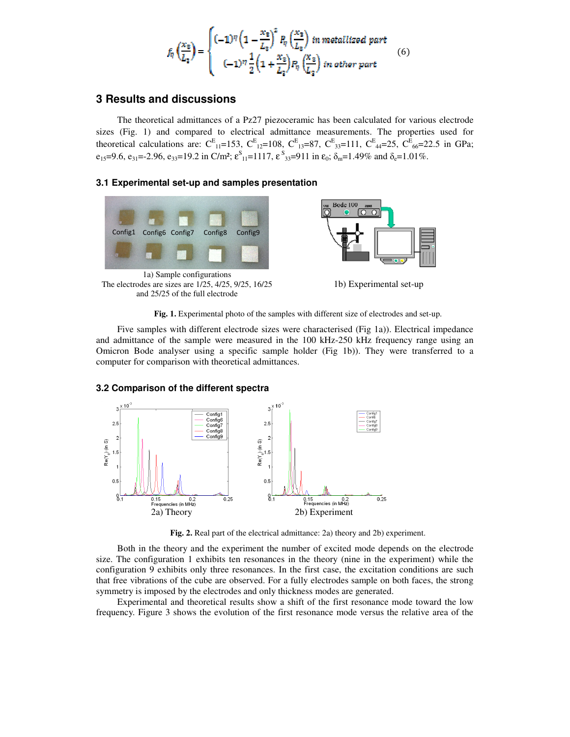$$
f_{\eta}\left(\frac{x_3}{L_3}\right) = \begin{cases} (-1)^{\eta} \left(1 - \frac{x_3}{L_2}\right)^2 P_{\eta}\left(\frac{x_3}{L_2}\right) \text{ in metalized part} \\ (-1)^{\eta} \frac{1}{2} \left(1 + \frac{x_3}{L_3}\right) P_{\eta}\left(\frac{x_3}{L_3}\right) \text{ in other part} \end{cases} \tag{6}
$$

### **3 Results and discussions**

The theoretical admittances of a Pz27 piezoceramic has been calculated for various electrode sizes (Fig. 1) and compared to electrical admittance measurements. The properties used for theoretical calculations are:  $C_{11}^{E}$ =153,  $C_{12}^{E}$ =108,  $C_{13}^{E}$ =87,  $C_{33}^{E}$ =111,  $C_{44}^{E}$ =25,  $C_{66}^{E}$ =22.5 in GPa;  $e_{15}=9.6$ ,  $e_{31}=2.96$ ,  $e_{33}=19.2$  in C/m<sup>2</sup>;  $\varepsilon_{11}^S=1117$ ,  $\varepsilon_{33}^S=911$  in  $\varepsilon_0$ ;  $\delta_m=1.49\%$  and  $\delta_e=1.01\%$ .

#### **3.1 Experimental set-up and samples presentation**



1a) Sample configurations The electrodes are sizes are 1/25, 4/25, 9/25, 16/25 and 25/25 of the full electrode



1b) Experimental set-up

**Fig. 1.** Experimental photo of the samples with different size of electrodes and set-up.

Five samples with different electrode sizes were characterised (Fig 1a)). Electrical impedance and admittance of the sample were measured in the 100 kHz-250 kHz frequency range using an Omicron Bode analyser using a specific sample holder (Fig 1b)). They were transferred to a computer for comparison with theoretical admittances.



#### **3.2 Comparison of the different spectra**

**Fig. 2.** Real part of the electrical admittance: 2a) theory and 2b) experiment.

Both in the theory and the experiment the number of excited mode depends on the electrode size. The configuration 1 exhibits ten resonances in the theory (nine in the experiment) while the configuration 9 exhibits only three resonances. In the first case, the excitation conditions are such that free vibrations of the cube are observed. For a fully electrodes sample on both faces, the strong symmetry is imposed by the electrodes and only thickness modes are generated.

Experimental and theoretical results show a shift of the first resonance mode toward the low frequency. Figure 3 shows the evolution of the first resonance mode versus the relative area of the